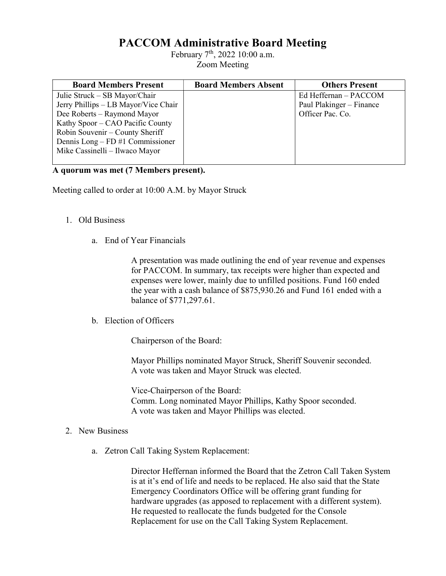## PACCOM Administrative Board Meeting

February 7<sup>th</sup>, 2022 10:00 a.m. Zoom Meeting

| <b>Board Members Present</b>         | <b>Board Members Absent</b> | <b>Others Present</b>    |
|--------------------------------------|-----------------------------|--------------------------|
| Julie Struck – SB Mayor/Chair        |                             | Ed Heffernan – PACCOM    |
| Jerry Phillips - LB Mayor/Vice Chair |                             | Paul Plakinger – Finance |
| Dee Roberts – Raymond Mayor          |                             | Officer Pac. Co.         |
| Kathy Spoor – CAO Pacific County     |                             |                          |
| Robin Souvenir – County Sheriff      |                             |                          |
| Dennis Long – FD #1 Commissioner     |                             |                          |
| Mike Cassinelli - Ilwaco Mayor       |                             |                          |
|                                      |                             |                          |

## A quorum was met (7 Members present).

Meeting called to order at 10:00 A.M. by Mayor Struck

- 1. Old Business
	- a. End of Year Financials

 A presentation was made outlining the end of year revenue and expenses for PACCOM. In summary, tax receipts were higher than expected and expenses were lower, mainly due to unfilled positions. Fund 160 ended the year with a cash balance of \$875,930.26 and Fund 161 ended with a balance of \$771,297.61.

b. Election of Officers

Chairperson of the Board:

 Mayor Phillips nominated Mayor Struck, Sheriff Souvenir seconded. A vote was taken and Mayor Struck was elected.

 Vice-Chairperson of the Board: Comm. Long nominated Mayor Phillips, Kathy Spoor seconded. A vote was taken and Mayor Phillips was elected.

- 2. New Business
	- a. Zetron Call Taking System Replacement:

 Director Heffernan informed the Board that the Zetron Call Taken System is at it's end of life and needs to be replaced. He also said that the State Emergency Coordinators Office will be offering grant funding for hardware upgrades (as apposed to replacement with a different system). He requested to reallocate the funds budgeted for the Console Replacement for use on the Call Taking System Replacement.